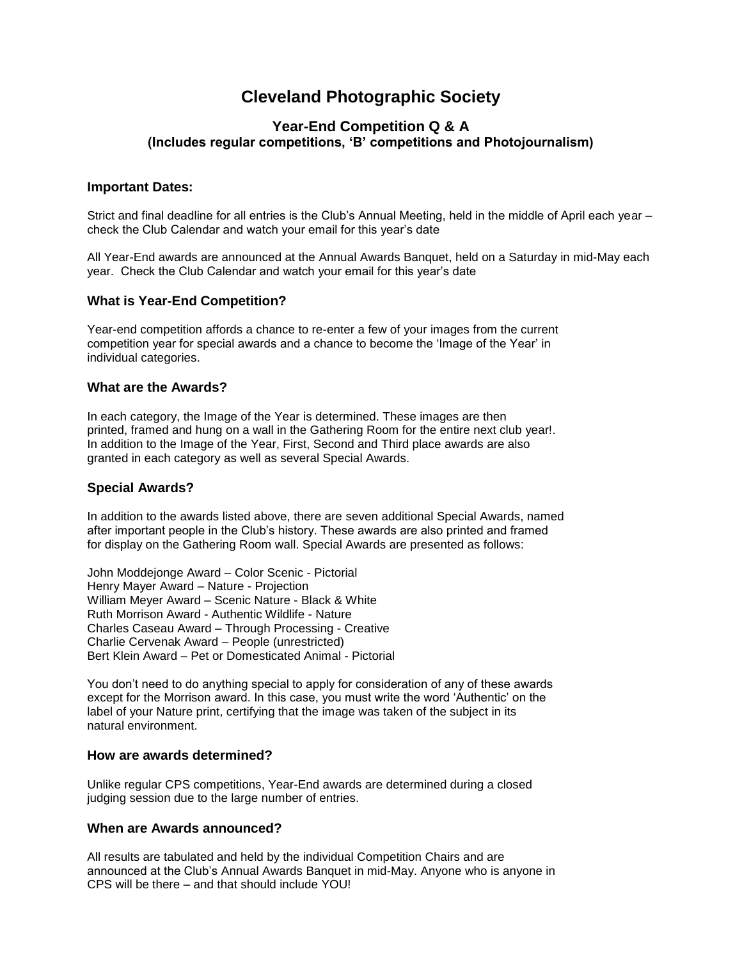# **Cleveland Photographic Society**

# **Year-End Competition Q & A (Includes regular competitions, 'B' competitions and Photojournalism)**

## **Important Dates:**

Strict and final deadline for all entries is the Club's Annual Meeting, held in the middle of April each year – check the Club Calendar and watch your email for this year's date

All Year-End awards are announced at the Annual Awards Banquet, held on a Saturday in mid-May each year. Check the Club Calendar and watch your email for this year's date

## **What is Year-End Competition?**

Year-end competition affords a chance to re-enter a few of your images from the current competition year for special awards and a chance to become the 'Image of the Year' in individual categories.

#### **What are the Awards?**

In each category, the Image of the Year is determined. These images are then printed, framed and hung on a wall in the Gathering Room for the entire next club year!. In addition to the Image of the Year, First, Second and Third place awards are also granted in each category as well as several Special Awards.

#### **Special Awards?**

In addition to the awards listed above, there are seven additional Special Awards, named after important people in the Club's history. These awards are also printed and framed for display on the Gathering Room wall. Special Awards are presented as follows:

John Moddejonge Award – Color Scenic - Pictorial Henry Mayer Award – Nature - Projection William Meyer Award – Scenic Nature - Black & White Ruth Morrison Award - Authentic Wildlife - Nature Charles Caseau Award – Through Processing - Creative Charlie Cervenak Award – People (unrestricted) Bert Klein Award – Pet or Domesticated Animal - Pictorial

You don't need to do anything special to apply for consideration of any of these awards except for the Morrison award. In this case, you must write the word 'Authentic' on the label of your Nature print, certifying that the image was taken of the subject in its natural environment.

#### **How are awards determined?**

Unlike regular CPS competitions, Year-End awards are determined during a closed judging session due to the large number of entries.

## **When are Awards announced?**

All results are tabulated and held by the individual Competition Chairs and are announced at the Club's Annual Awards Banquet in mid-May. Anyone who is anyone in CPS will be there – and that should include YOU!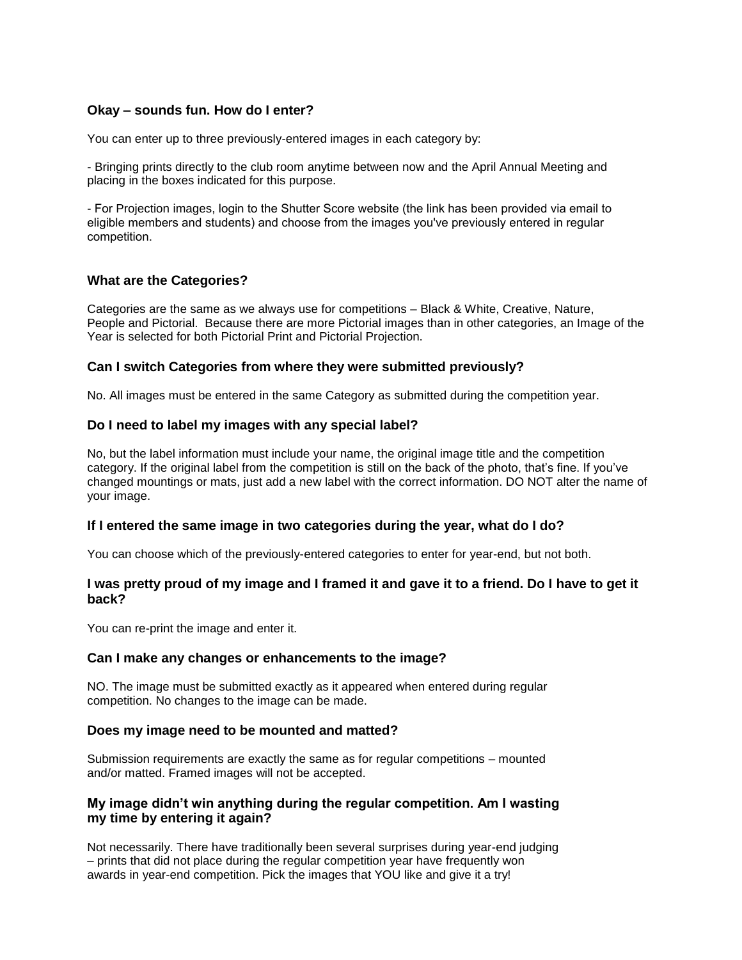#### **Okay – sounds fun. How do I enter?**

You can enter up to three previously-entered images in each category by:

- Bringing prints directly to the club room anytime between now and the April Annual Meeting and placing in the boxes indicated for this purpose.

- For Projection images, login to the Shutter Score [website \(the link has be](mailto:randycps@beiter.com)en provided via email to eligible members and students) and choose from the images you've previously entered in regular competition.

## **What are the Categories?**

Categories are the same as we always use for competitions – Black & White, Creative, Nature, People and Pictorial. Because there are more Pictorial images than in other categories, an Image of the Year is selected for both Pictorial Print and Pictorial Projection.

#### **Can I switch Categories from where they were submitted previously?**

No. All images must be entered in the same Category as submitted during the competition year.

#### **Do I need to label my images with any special label?**

No, but the label information must include your name, the original image title and the competition category. If the original label from the competition is still on the back of the photo, that's fine. If you've changed mountings or mats, just add a new label with the correct information. DO NOT alter the name of your image.

#### **If I entered the same image in two categories during the year, what do I do?**

You can choose which of the previously-entered categories to enter for year-end, but not both.

#### **I was pretty proud of my image and I framed it and gave it to a friend. Do I have to get it back?**

You can re-print the image and enter it.

#### **Can I make any changes or enhancements to the image?**

NO. The image must be submitted exactly as it appeared when entered during regular competition. No changes to the image can be made.

#### **Does my image need to be mounted and matted?**

Submission requirements are exactly the same as for regular competitions – mounted and/or matted. Framed images will not be accepted.

## **My image didn't win anything during the regular competition. Am I wasting my time by entering it again?**

Not necessarily. There have traditionally been several surprises during year-end judging – prints that did not place during the regular competition year have frequently won awards in year-end competition. Pick the images that YOU like and give it a try!